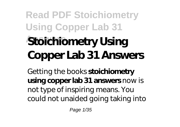# **Read PDF Stoichiometry Using Copper Lab 31 Answers Stoichiometry Using Copper Lab 31 Answers**

Getting the books **stoichiometry using copper lab 31 answers** now is not type of inspiring means. You could not unaided going taking into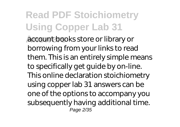**Answers** account books store or library or borrowing from your links to read them. This is an entirely simple means to specifically get guide by on-line. This online declaration stoichiometry using copper lab 31 answers can be one of the options to accompany you subsequently having additional time. Page 2/35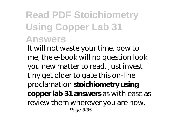#### **Read PDF Stoichiometry Using Copper Lab 31 Answers**

It will not waste your time. bow to me, the e-book will no question look you new matter to read. Just invest tiny get older to gate this on-line proclamation **stoichiometry using copper lab 31 answers** as with ease as review them wherever you are now. Page 3/35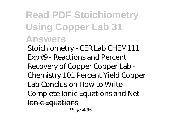#### **Read PDF Stoichiometry Using Copper Lab 31 Answers**

Stoichiometry - CER Lab *CHEM111 Exp#9 - Reactions and Percent Recovery of Copper* Copper Lab - Chemistry 101 Percent Yield Copper Lab Conclusion How to Write Complete Ionic Equations and Net

Ionic Equations

Page 4/35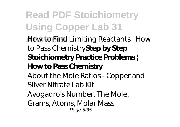**Answers** How to Find Limiting Reactants | How to Pass Chemistry**Step by Step Stoichiometry Practice Problems | How to Pass Chemistry**

About the Mole Ratios - Copper and Silver Nitrate Lab Kit

Avogadro's Number, The Mole,

Grams, Atoms, Molar Mass Page 5/35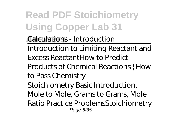**Answers** Calculations - Introduction

Introduction to Limiting Reactant and Excess Reactant*How to Predict*

*Products of Chemical Reactions | How to Pass Chemistry*

Stoichiometry Basic Introduction, Mole to Mole, Grams to Grams, Mole Ratio Practice ProblemsStoichiometry Page 6/35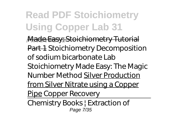**Answers** Made Easy: Stoichiometry Tutorial Part 1 Stoichiometry Decomposition of sodium bicarbonate Lab Stoichiometry Made Easy: The Magic Number Method Silver Production from Silver Nitrate using a Copper Pipe Copper Recovery

Chemistry Books | Extraction of Page 7/35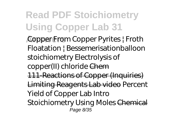**Answers** Copper From Copper Pyrites | Froth Floatation | Bessemerisation*balloon stoichiometry Electrolysis of copper(II) chloride* Chem 111-Reactions of Copper (Inquiries) Limiting Reagents Lab video *Percent Yield of Copper Lab Intro* **Stoichiometry Using Moles** Chemical Page 8/35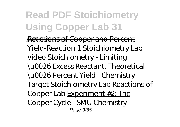**Reactions of Copper and Percent** Yield-Reaction 1 Stoichiometry Lab video Stoichiometry - Limiting \u0026 Excess Reactant, Theoretical \u0026 Percent Yield - Chemistry Target Stoichiometry Lab Reactions of Copper Lab Experiment #2: The Copper Cycle - SMU Chemistry Page 9/35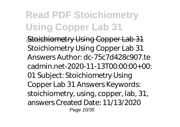**Stoichiometry Using Copper Lab 31** Stoichiometry Using Copper Lab 31 Answers Author: dc-75c7d428c907.te cadmin.net-2020-11-13T $O<sub>2</sub>O<sub>1</sub>O<sub>1</sub>O<sub>2</sub>$ 01 Subject: Stoichiometry Using Copper Lab 31 Answers Keywords: stoichiometry, using, copper, lab, 31, answers Created Date: 11/13/2020 Page 10/35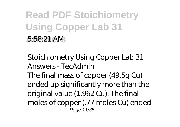#### **Read PDF Stoichiometry Using Copper Lab 31 Answers** 5:58:21 AM

Stoichiometry Using Copper Lab 31 Answers - TecAdmin The final mass of copper (49.5g Cu) ended up significantly more than the original value (1.962 Cu). The final moles of copper (.77 moles Cu) ended Page 11/35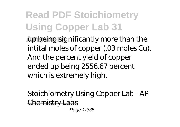**Answers** up being significantly more than the intital moles of copper (.03 moles Cu). And the percent yield of copper ended up being 2556.67 percent which is extremely high.

Stoichiometry Using Copper Lab - AP Chemistry Labs Page 12/35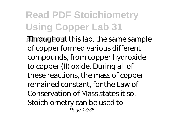**Answers** Throughout this lab, the same sample of copper formed various different compounds, from copper hydroxide to copper (II) oxide. During all of these reactions, the mass of copper remained constant, for the Law of Conservation of Mass states it so. Stoichiometry can be used to Page 13/35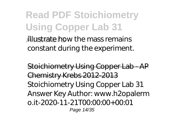**Answers** illustrate how the mass remains constant during the experiment.

Stoichiometry Using Copper Lab - AP Chemistry Krebs 2012-2013 Stoichiometry Using Copper Lab 31 Answer Key Author: www.h2opalerm o.it-2020-11-21T00:00:00+00:01 Page 14/35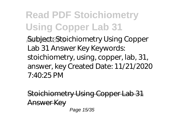**Answers** Subject: Stoichiometry Using Copper Lab 31 Answer Key Keywords: stoichiometry, using, copper, lab, 31, answer, key Created Date: 11/21/2020 7:40:25 PM

Stoichiometry Using Copper Lab 31 Answer Key Page 15/35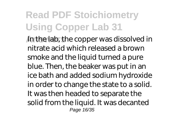**Answers** In the lab, the copper was dissolved in nitrate acid which released a brown smoke and the liquid turned a pure blue. Then, the beaker was put in an ice bath and added sodium hydroxide in order to change the state to a solid. It was then headed to separate the solid from the liquid. It was decanted Page 16/35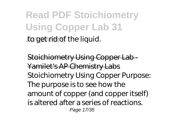**Read PDF Stoichiometry Using Copper Lab 31 Answers** to get rid of the liquid.

Stoichiometry Using Copper Lab - Yamilet's AP Chemistry Labs Stoichiometry Using Copper Purpose: The purpose is to see how the amount of copper (and copper itself) is altered after a series of reactions. Page 17/35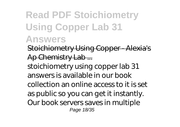#### **Read PDF Stoichiometry Using Copper Lab 31 Answers**

Stoichiometry Using Copper - Alexia's Ap Chemistry Lab ...

stoichiometry using copper lab 31 answers is available in our book collection an online access to it is set as public so you can get it instantly. Our book servers saves in multiple Page 18/35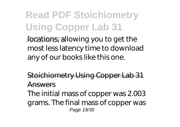**Anders** allowing you to get the most less latency time to download any of our books like this one.

Stoichiometry Using Copper Lab 31 Answers

The initial mass of copper was 2.003 grams. The final mass of copper was Page 19/35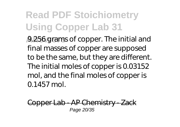**Answers** 9.256 grams of copper. The initial and final masses of copper are supposed to be the same, but they are different. The initial moles of copper is 0.03152 mol, and the final moles of copper is 0.1457 mol.

Copper Lab - AP Chemistry - Zack Page 20/35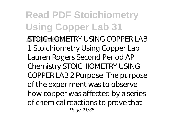#### **Read PDF Stoichiometry Using Copper Lab 31 Answers** STOICHIOMETRY USING COPPER LAB 1 Stoichiometry Using Copper Lab Lauren Rogers Second Period AP Chemistry STOICHIOMETRY USING COPPER LAB 2 Purpose: The purpose of the experiment was to observe how copper was affected by a series of chemical reactions to prove that Page 21/35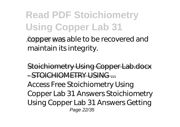copper was able to be recovered and maintain its integrity.

Stoichiometry Using Copper Lab.docx - STOICHIOMETRY USING Access Free Stoichiometry Using Copper Lab 31 Answers Stoichiometry Using Copper Lab 31 Answers Getting Page 22/35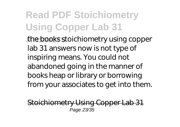**Answers** the books stoichiometry using copper lab 31 answers now is not type of inspiring means. You could not abandoned going in the manner of books heap or library or borrowing from your associates to get into them.

Stoichiometry Using Copper Lab 31 Page 23/35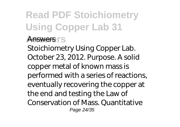#### **Answers** Answers

Stoichiometry Using Copper Lab. October 23, 2012. Purpose. A solid copper metal of known mass is performed with a series of reactions, eventually recovering the copper at the end and testing the Law of Conservation of Mass. Quantitative Page 24/35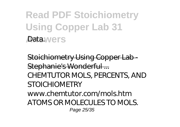**Read PDF Stoichiometry Using Copper Lab 31 Answers** Data.

Stoichiometry Using Copper Lab - Stephanie's Wonderful ... CHEMTUTOR MOLS, PERCENTS, AND **STOICHIOMETRY** www.chemtutor.com/mols.htm ATOMS OR MOLECULES TO MOLS. Page 25/35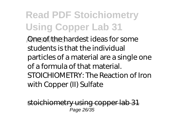**Answers** One of the hardest ideas for some students is that the individual particles of a material are a single one of a formula of that material. STOICHIOMETRY: The Reaction of Iron with Copper (II) Sulfate

stoichiometry using copper lab 31 Page 26/35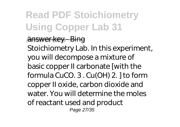#### **Answers** answer key - Bing

Stoichiometry Lab. In this experiment, you will decompose a mixture of basic copper II carbonate [with the formula CuCO. 3 . Cu(OH) 2. ] to form copper II oxide, carbon dioxide and water. You will determine the moles of reactant used and product Page 27/35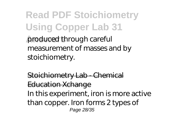**Read PDF Stoichiometry Using Copper Lab 31 Answers** produced through careful measurement of masses and by stoichiometry.

Stoichiometry Lab - Chemical Education Xchange In this experiment, iron is more active than copper. Iron forms 2 types of Page 28/35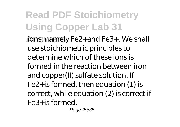**Jons, namely Fe2+and Fe3+. We shall** use stoichiometric principles to determine which of these ions is formed in the reaction between iron and copper(II) sulfate solution. If Fe2+is formed, then equation (1) is correct, while equation (2) is correct if Fe3+is formed.

Page 29/35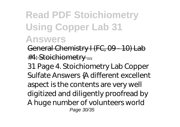#### **Read PDF Stoichiometry Using Copper Lab 31 Answers**

General Chemistry I (FC, 09 - 10) Lab

#4: Stoichiometry ...

31 Page 4. Stoichiometry Lab Copper Sulfate Answers {A different excellent aspect is the contents are very well digitized and diligently proofread by A huge number of volunteers world Page 30/35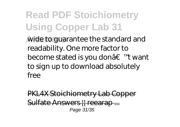**Answers** wide to guarantee the standard and readability. One more factor to become stated is you don†™t want to sign up to download absolutely free

**PKL4X Stoichiometry Lab Cop** Sulfate Answers II reearap Page 31/35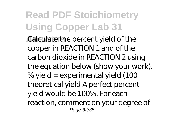**Answers** Calculate the percent yield of the copper in REACTION 1 and of the carbon dioxide in REACTION 2 using the equation below (show your work). % yield = experimental yield (100 theoretical yield A perfect percent yield would be 100%. For each reaction, comment on your degree of Page 32/35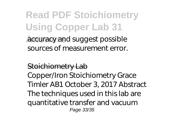**Answers** accuracy and suggest possible sources of measurement error.

#### Stoichiometry Lab

Copper/Iron Stoichiometry Grace Timler AB1 October 3, 2017 Abstract The techniques used in this lab are quantitative transfer and vacuum Page 33/35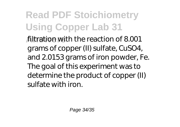**Answers** filtration with the reaction of 8.001 grams of copper (II) sulfate, CuSO4, and 2.0153 grams of iron powder, Fe. The goal of this experiment was to determine the product of copper (II) sulfate with iron.